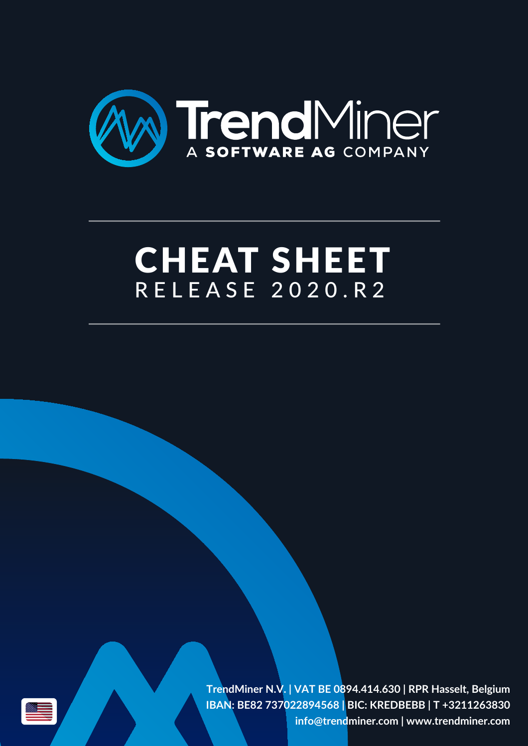

# RELEASE 2020.R2 CHEAT SHEET

**TrendMiner N.V. | VAT BE 0894.414.630 | RPR Hasselt, Belgium IBAN: BE82 737022894568 | BIC: KREDBEBB | T +3211263830 info@trendminer.com | www.trendminer.com**

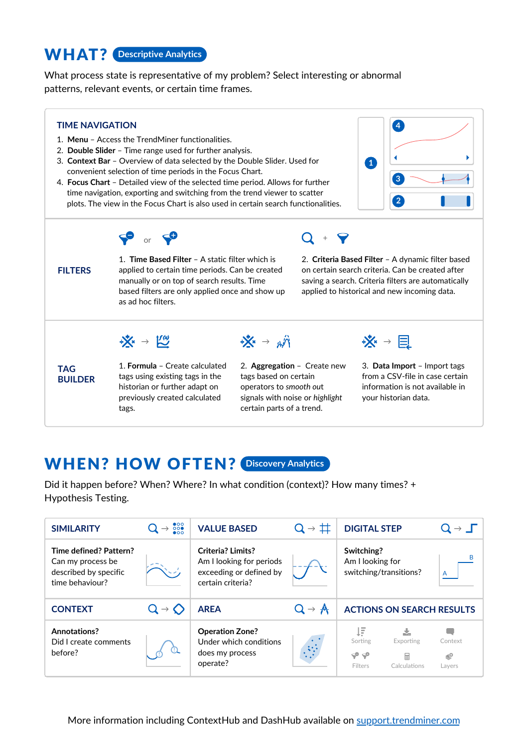#### WHAT? **Descriptive Analytics**

What process state is representative of my problem? Select interesting or abnormal patterns, relevant events, or certain time frames.



#### WHEN? HOW OFTEN? **Discovery Analytics**

Did it happen before? When? Where? In what condition (context)? How many times? + Hypothesis Testing.

| <b>SIMILARITY</b>                                                                       | $\frac{000}{000}$<br>$\rightarrow$ | <b>VALUE BASED</b>                                                                            | $Q \rightarrow \pm$        | <b>DIGITAL STEP</b>                                                             | $\rightarrow$ $\Box$    |
|-----------------------------------------------------------------------------------------|------------------------------------|-----------------------------------------------------------------------------------------------|----------------------------|---------------------------------------------------------------------------------|-------------------------|
| Time defined? Pattern?<br>Can my process be<br>described by specific<br>time behaviour? |                                    | Criteria? Limits?<br>Am I looking for periods<br>exceeding or defined by<br>certain criteria? |                            | Switching?<br>Am I looking for<br>switching/transitions?                        | в                       |
| <b>CONTEXT</b>                                                                          | $Q \rightarrow Q$                  | <b>AREA</b>                                                                                   | $Q \rightarrow \mathbf{A}$ | <b>ACTIONS ON SEARCH RESULTS</b>                                                |                         |
| Annotations?<br>Did I create comments<br>before?                                        |                                    | <b>Operation Zone?</b><br>Under which conditions<br>does my process<br>operate?               | $\ddot{\mathbf{c}}$        | ŢĔ<br>Sorting<br>Exporting<br>$\varphi \varphi$<br>畐<br>Calculations<br>Filters | Context<br>ళి<br>Layers |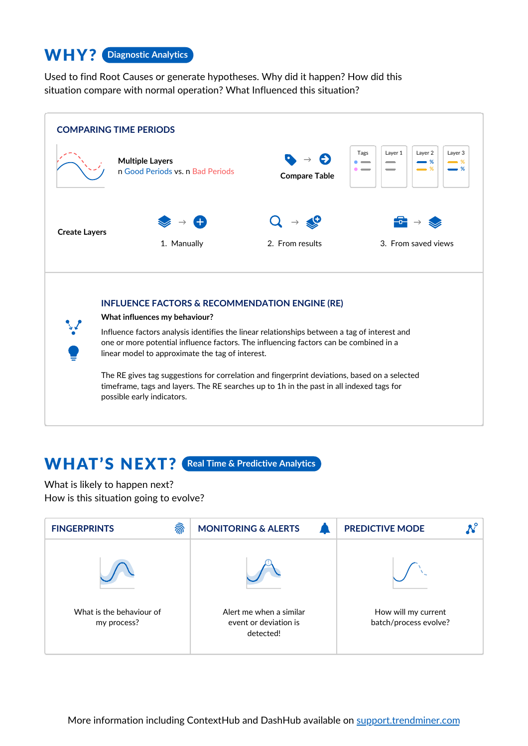#### WHY? **Diagnostic Analytics**

Used to find Root Causes or generate hypotheses. Why did it happen? How did this situation compare with normal operation? What Influenced this situation?



#### WHAT'S NEXT? **Real Time & Predictive Analytics**

What is likely to happen next? How is this situation going to evolve?

| ଲି<br><b>FINGERPRINTS</b>               | <b>MONITORING &amp; ALERTS</b>                                | <b>PREDICTIVE MODE</b>                       |
|-----------------------------------------|---------------------------------------------------------------|----------------------------------------------|
|                                         |                                                               |                                              |
| What is the behaviour of<br>my process? | Alert me when a similar<br>event or deviation is<br>detected! | How will my current<br>batch/process evolve? |